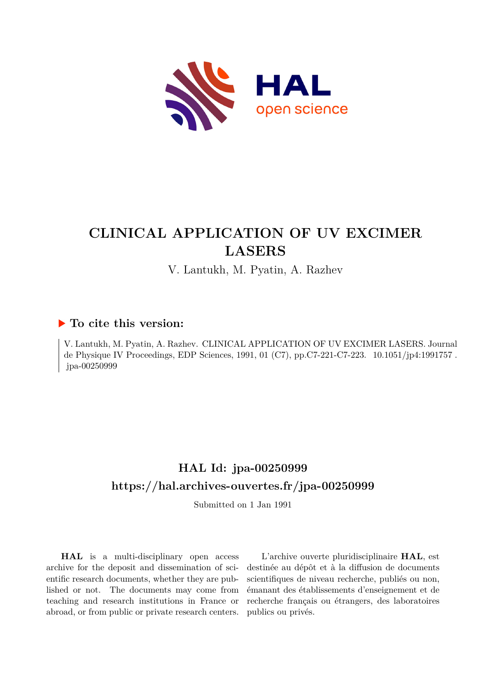

# **CLINICAL APPLICATION OF UV EXCIMER LASERS**

V. Lantukh, M. Pyatin, A. Razhev

### **To cite this version:**

V. Lantukh, M. Pyatin, A. Razhev. CLINICAL APPLICATION OF UV EXCIMER LASERS. Journal de Physique IV Proceedings, EDP Sciences, 1991, 01 (C7), pp.C7-221-C7-223. 10.1051/jp4:1991757. jpa-00250999

## **HAL Id: jpa-00250999 <https://hal.archives-ouvertes.fr/jpa-00250999>**

Submitted on 1 Jan 1991

**HAL** is a multi-disciplinary open access archive for the deposit and dissemination of scientific research documents, whether they are published or not. The documents may come from teaching and research institutions in France or abroad, or from public or private research centers.

L'archive ouverte pluridisciplinaire **HAL**, est destinée au dépôt et à la diffusion de documents scientifiques de niveau recherche, publiés ou non, émanant des établissements d'enseignement et de recherche français ou étrangers, des laboratoires publics ou privés.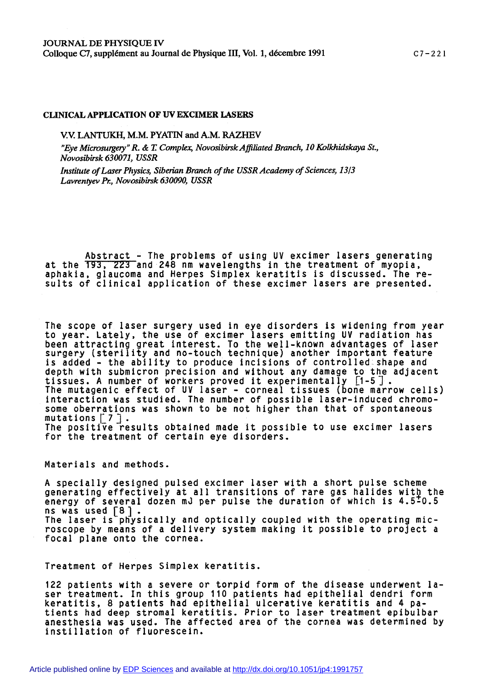### **CLINICAL APPLICATION OF UV EXCIMER LASERS**

**V.V. LANTUKH, M.M. PYATIN and A.M. RAZHEV** 

*"Eye Microsurgery" R.* & *T Complex, NovosibirskAfiliated Branch, 10 Xolkhidskaya St., Novosibirsk 630071, USSR* 

*Institute of Laser Physics, Siberian Branch of the USSR Academy of Sciences, 13/3 Lavrenvev* **fi,** *Novosibirsk 630090, USSR* 

**Abstract** - **The problems of using UV excimer lasers generating**  at the 193, 223 and 248 nm wavelengths in the treatment of myopia, aphakia, glaucoma and Herpes Simplex keratitis is discussed. The re**sults of clinical application of these excimer lasers are presented.** 

**The scope of laser surgery used in eye disorders is widening from year to year. Lately, the use of excimer lasers emitting UV radiation has been attracting great interest. To the well-known advantages of laser surgery (sterility and no-touch technique) another important feature is added** - **the ability to produce incisions of controlled shape and depth with submicron precision and without any damage to the adjacent tissues. A number of workers proved it experimentally 11-51. The mutagenic effect of UV laser** - **corneal tissues (bone marrow cells) interaction was studied. The number of possible laser-induced chromosome oberrations was shown to be not higher than that of spontaneous**  The positive results obtained made it possible to use excimer lasers **for the treatment of certain eye disorders.** 

**Materials and methods.** 

**A specially designed pulsed excimer laser with a short pulse scheme**  generating effectively at all transitions of rare gas halides with the **energy of several dozen mJ per pulse the duration of which is 4.5-0.5**  The laser is physically and optically coupled with the operating mic**roscope by means of a delivery system making it possible to project a focal plane onto the cornea.** 

**Treatment of Herpes Simplex keratitis.** 

**122 patients with a severe or torpid form of the disease underwent laser treatment. In this group 110 patients had epithelial dendri form keratitis, 8 patients had epithelial ulcerative keratitis and 4 patients had deep stromal keratitis. Prior to laser treatment epibulbar anesthesia was used. The affected area of the cornea was determined by instillation of fluorescein.**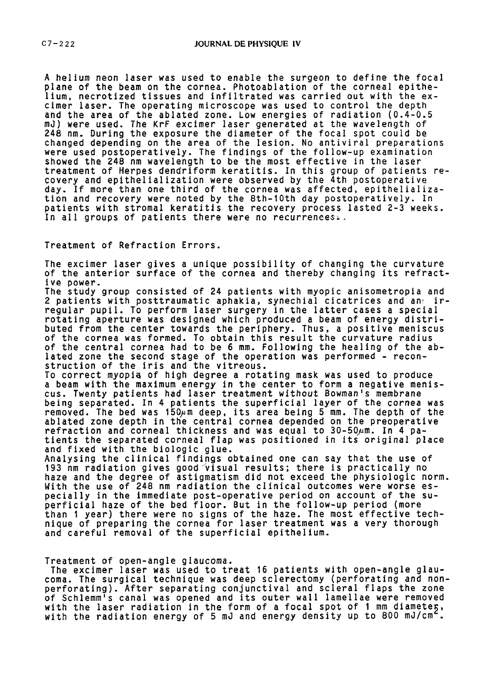**A helium neon laser was used to enable the surgeon to define the focal plane of the beam on the cornea. Photoablation of the corneal epithelium, necrotized tissues and infiltrated was carried out with the excimer laser. The operating microscope was used to control the depth and the area of the ablated zone. Low energies of radiation (0.4-0.5 mJ) were used. The KrF excimer laser generated at the wavelength of 248 nm. During the exposure the diameter of the focal spot could be changed depending on the area of the lesion. No antiviral preparations were used postoperatively. The findings of the follow-up examination showed the 248 nm wavelength to be the most effective in the laser treatment of Herpes dendriform keratitis. In this group of patients recovery and epithelialization were observed by the 4th postoperative day. If more than one third of the cornea was affected, epithelialization and recovery were noted by the 8th-10th day postoperatively. In patients with stromal keratitis the recovery process lasted 2-3 weeks. In all groups of patients there were no recurrences-.** 

**Treatment of Refraction Errors.** 

**The excimer laser gives a unique possibility of changing the curvature**  of the anterior surface of the cornea and thereby changing its refract**ive power.** 

**The study group consisted of 24 patients with myopic anisometropia and 2 patients with posttraumatic aphakia, synechial cicatrices and an2 irregular pupil. To perform laser surgery in the latter cases a special rotating aperture was designed which produced a beam of energy distributed from the center towards the periphery. Thus, a positive meniscus of the cornea was formed. To obtain this result the curvature radius of the central cornea had to be 6 mm. Following the healing of the ablated zone the second stage of the operation was performed** - **reconstruction of the iris and the vitreous.** 

**To correct myopia of high degree a rotating mask was used to produce a beam with the maximum energy in the center to form a negative meniscus. Twenty patients had laser treatment without Bowman's membrane being separated. In 4 patients the superficial layer of the cornea was removed. The bed was 150pm deep, its area being 5 mm. The depth of the ablated zone depth in the central cornea depended on the preoperative refraction and corneal thickness and was equal to 30-50ym. In 4 patients the separated corneal flap was positioned in its original place and fixed with the biologic glue.** 

**Analysing the clinical findings obtained one can say that the use of 193 nm radiation gives goodrvisual results; there is practically no haze and the degree of astigmatism did not exceed the physiologic norm. With the use of 248 nm radiation the clinical outcomes were worse especially in the immediate post-operative period on account of the superficial haze of the bed floor. But in the follow-up period (more than I year) there were no signs of the haze. The most effective technique of preparing the cornea for laser treatment was a very thorough and careful removal of the superficial epithelium.** 

#### **Treatment of open-angle glaucoma.**

**The excimer laser was used to treat 16 patients with open-angle glaucoma. The surgical technique was deep sclerectomy (perforating and nonperforating). After separating conjunctival and scleral flaps the zone of Schlemm's canal was opened and its outer wall lamellae were removed**  with the laser radiation in the form of a focal spot of 1 mm diameteg, with the radiation energy of 5 mJ and energy density up to 800 mJ/cm<sup>2</sup>.